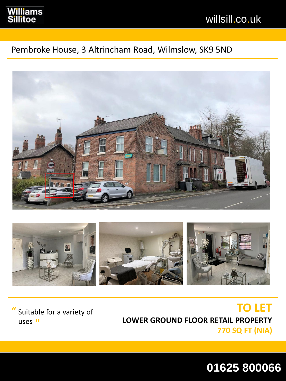

## Pembroke House, 3 Altrincham Road, Wilmslow, SK9 5ND





Suitable for a variety of **"** uses **"**

**TO LET LOWER GROUND FLOOR RETAIL PROPERTY 770 SQ FT (NIA)**

**01625 800066**